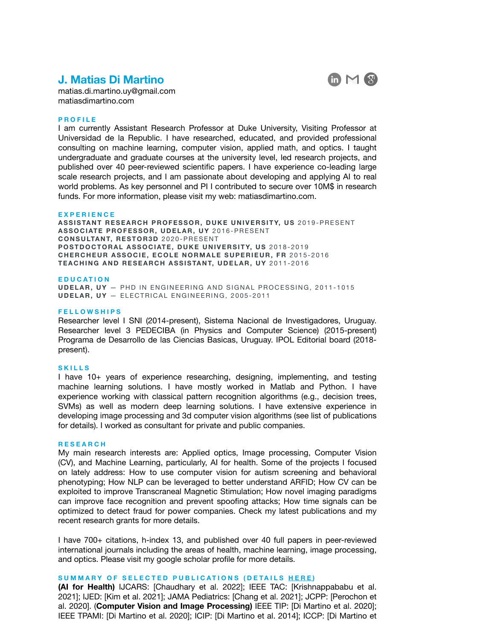# **J. Matias Di Martino**



[matias.di.martino.uy@gmail.com](mailto:matias.di.martino.uy@gmail.com) matiasdimartino.com

### **PROFILE**

I am currently Assistant Research Professor at Duke University, Visiting Professor at Universidad de la Republic. I have researched, educated, and provided professional consulting on machine learning, computer vision, applied math, and optics. I taught undergraduate and graduate courses at the university level, led research projects, and published over 40 peer-reviewed scientific papers. I have experience co-leading large scale research projects, and I am passionate about developing and applying AI to real world problems. As key personnel and PI I contributed to secure over 10M\$ in research funds. For more information, please visit my web: matiasdimartino.com.

#### **EXPERIENCE**

**ASSISTANT RESEARCH PROFESSOR, DUKE UNIVERSITY, US** 2019-PRESENT **ASSOCIATE PROFESSOR, UDELAR, UY** 2016-PRESENT **CONSULTANT, RESTOR3D** 2020-PRESENT **POSTDOCTORAL ASSOCIATE, DUKE UNIVERSITY, US 2018-2019 CHERCHEUR ASSOCIE, ECOLE NORMALE SUPERIEUR, FR** 2015-2016 **TEACHING AND RESEARCH ASSISTANT, UDELAR, UY** 2011-2016

### **EDUCATION**

**UDELAR, UY** — PHD IN ENGINEERING AND SIGNAL PROCESSING, 2011-1015 **UDELAR, UY** — ELECTRICAL ENGINEERING, 2005-2011

# **FELLOWSHIPS**

Researcher level I SNI (2014-present), Sistema Nacional de Investigadores, Uruguay. Researcher level 3 PEDECIBA (in Physics and Computer Science) (2015-present) Programa de Desarrollo de las Ciencias Basicas, Uruguay. IPOL Editorial board (2018 present).

#### **SKILLS**

I have 10+ years of experience researching, designing, implementing, and testing machine learning solutions. I have mostly worked in Matlab and Python. I have experience working with classical pattern recognition algorithms (e.g., decision trees, SVMs) as well as modern deep learning solutions. I have extensive experience in developing image processing and 3d computer vision algorithms (see list of publications for details). I worked as consultant for private and public companies.

### **RESEARCH**

My main research interests are: Applied optics, Image processing, Computer Vision (CV), and Machine Learning, particularly, AI for health. Some of the projects I focused on lately address: How to use computer vision for autism screening and behavioral phenotyping; How NLP can be leveraged to better understand ARFID; How CV can be exploited to improve Transcraneal Magnetic Stimulation; How novel imaging paradigms can improve face recognition and prevent spoofing attacks; How time signals can be optimized to detect fraud for power companies. Check my latest publications and my recent research grants for more details.

I have 700+ citations, h-index 13, and published over 40 full papers in peer-reviewed international journals including the areas of health, machine learning, image processing, and optics. Please visit my google scholar profile for more details.

# **SUMMARY OF SELECTED PUBLICATIONS (DETAILS [HERE](https://scholar.google.com/citations?user=rGHOw04AAAAJ&hl=en) )**

**(AI for Health)** IJCARS: [Chaudhary et al. 2022]; IEEE TAC: [Krishnappababu et al. 2021]; IJED: [Kim et al. 2021]; JAMA Pediatrics: [Chang et al. 2021]; JCPP: [Perochon et al. 2020]. (**Computer Vision and Image Processing)** IEEE TIP: [Di Martino et al. 2020]; IEEE TPAMI: [Di Martino et al. 2020]; ICIP: [Di Martino et al. 2014]; ICCP: [Di Martino et